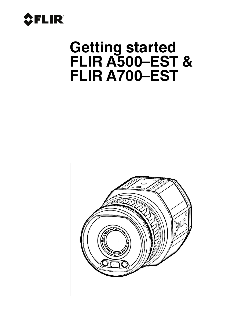

# **Getting started FLIR A500–EST & FLIR A700–EST**

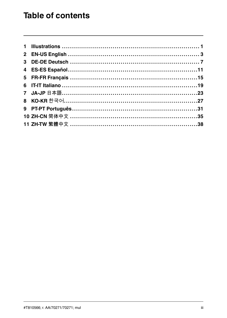# **Table of contents**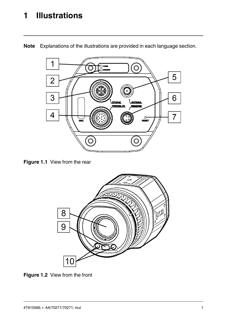# <span id="page-3-0"></span>**[1](#page-3-0) [Illustrations](#page-3-0)**



**Note** Explanations of the illustrations are provided in each language section.

<span id="page-3-2"></span><span id="page-3-1"></span>**Figure 1.1** View from the rear



**Figure 1.2** View from the front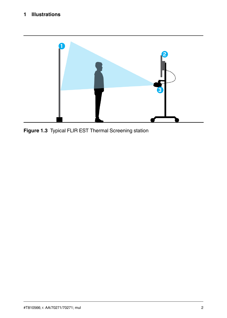# **[1](#page-3-0) [Illustrations](#page-3-0)**

<span id="page-4-0"></span>

**Figure 1.3** Typical FLIR EST Thermal Screening station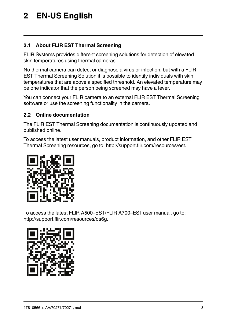# <span id="page-5-0"></span>**[2](#page-5-0) EN-US [English](#page-5-0)**

# **2.1 About FLIR EST Thermal Screening**

FLIR Systems provides different screening solutions for detection of elevated skin temperatures using thermal cameras.

No thermal camera can detect or diagnose a virus or infection, but with a FLIR EST Thermal Screening Solution it is possible to identify individuals with skin temperatures that are above a specified threshold. An elevated temperature may be one indicator that the person being screened may have a fever.

You can connect your FLIR camera to an external FLIR EST Thermal Screening software or use the screening functionality in the camera.

# **2.2 Online documentation**

The FLIR EST Thermal Screening documentation is continuously updated and published online.

To access the latest user manuals, product information, and other FLIR EST Thermal Screening resources, go to: http://support.flir.com/resources/est.



To access the latest FLIR A500–EST/FLIR A700–ESTuser manual, go to: http://support.flir.com/resources/ds6g.

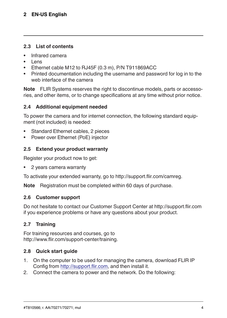# **[2](#page-5-0) EN-US [English](#page-5-0)**

#### **2.3 List of contents**

- Infrared camera
- Lens
- Ethernet cable M12 to RJ45F (0.3 m), P/N T911869ACC
- Printed documentation including the username and password for log in to the web interface of the camera

**Note** FLIR Systems reserves the right to discontinue models, parts or accessories, and other items, or to change specifications at any time without prior notice.

#### **2.4 Additional equipment needed**

To power the camera and for internet connection, the following standard equipment (not included) is needed:

- Standard Ethernet cables, 2 pieces
- Power over Ethernet (PoE) injector

#### **2.5 Extend your product warranty**

Register your product now to get:

• 2 years camera warranty

To activate your extended warranty, go to http://support.flir.com/camreg.

**Note** Registration must be completed within 60 days of purchase.

#### **2.6 Customer support**

Do not hesitate to contact our Customer Support Center at http://support.flir.com if you experience problems or have any questions about your product.

#### **2.7 Training**

For training resources and courses, go to http://www.flir.com/support-center/training.

#### **2.8 Quick start guide**

- 1. On the computer to be used for managing the camera, download FLIR IP Config from http://support.flir.com, and then install it.
- 2. Connect the camera to power and the network. Do the following: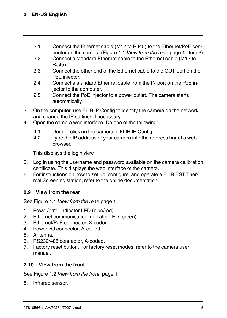- 2.1. Connect the Ethernet cable (M12 to RJ45) to the Ethernet/PoE connector on the camera [\(Figure](#page-3-1) 1.1 *View from the rear*, page [1,](#page-3-1) item 3).
- 2.2. Connect a standard Ethernet cable to the Ethernet cable (M12 to RJ45).
- 2.3. Connect the other end of the Ethernet cable to the OUT port on the PoE injector.
- 2.4. Connect a standard Ethernet cable from the IN port on the PoE injector to the computer.
- 2.5. Connect the PoE injector to a power outlet. The camera starts automatically.
- 3. On the computer, use FLIR IP Config to identify the camera on the network, and change the IP settings if necessary.
- 4. Open the camera web interface. Do one of the following:
	- 4.1. Double-click on the camera in FLIR IP Config.
	- 4.2. Type the IP address of your camera into the address bar of a web browser.

This displays the login view.

- 5. Log in using the username and password available on the camera calibration certificate. This displays the web interface of the camera.
- 6. For instructions on how to set up, configure, and operate a FLIR EST Thermal Screening station, refer to the online documentation.

# **2.9 View from the rear**

See [Figure](#page-3-1) 1.1 *View from the rear*, page [1](#page-3-1).

- 1. Power/error indicator LED (blue/red).
- 2. Ethernet communication indicator LED (green).
- 3. Ethernet/PoE connector, X-coded.
- 4. Power I/O connector, A-coded.
- 5. Antenna.
- 6. RS232/485 connector, A-coded.
- 7. Factory reset button. For factory reset modes, refer to the camera user manual.

# **2.10 View from the front**

See [Figure](#page-3-2) 1.2 *View from the front*, page [1](#page-3-2).

8. Infrared sensor.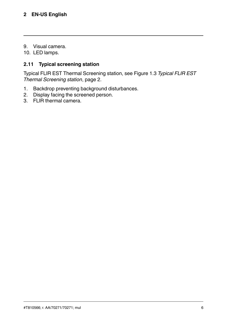# **[2](#page-5-0) EN-US [English](#page-5-0)**

9. Visual camera.

10. LED lamps.

### **2.11 Typical screening station**

Typical FLIR EST Thermal Screening station, see Figure 1.3 *[Typical](#page-4-0) FLIR EST Thermal [Screening](#page-4-0) station*, page [2.](#page-4-0)

- 1. Backdrop preventing background disturbances.
- 2. Display facing the screened person.
- 3. FLIR thermal camera.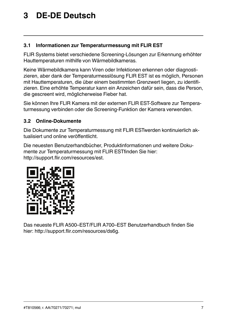# <span id="page-9-0"></span>**[3](#page-9-0) DE-DE [Deutsch](#page-9-0)**

#### **3.1 Informationen zur Temperaturmessung mit FLIR EST**

FLIR Systems bietet verschiedene Screening-Lösungen zur Erkennung erhöhter Hauttemperaturen mithilfe von Wärmebildkameras.

Keine Wärmebildkamera kann Viren oder Infektionen erkennen oder diagnostizieren, aber dank der Temperaturmesslösung FLIR EST ist es möglich, Personen mit Hauttemperaturen, die über einem bestimmten Grenzwert liegen, zu identifizieren. Eine erhöhte Temperatur kann ein Anzeichen dafür sein, dass die Person, die gescreent wird, möglicherweise Fieber hat.

Sie können Ihre FLIR Kamera mit der externen FLIR EST-Software zur Temperaturmessung verbinden oder die Screening-Funktion der Kamera verwenden.

### **3.2 Online-Dokumente**

Die Dokumente zur Temperaturmessung mit FLIR ESTwerden kontinuierlich aktualisiert und online veröffentlicht.

Die neuesten Benutzerhandbücher, Produktinformationen und weitere Dokumente zur Temperaturmessung mit FLIR ESTfinden Sie hier: http://support.flir.com/resources/est.



Das neueste FLIR A500–EST/FLIR A700–EST Benutzerhandbuch finden Sie hier: http://support.flir.com/resources/ds6g.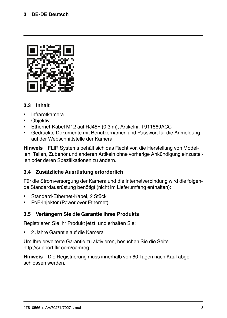

### **3.3 Inhalt**

- Infrarotkamera
- Objektiv
- Ethernet-Kabel M12 auf RJ45F (0,3 m), Artikelnr. T911869ACC
- Gedruckte Dokumente mit Benutzernamen und Passwort für die Anmeldung auf der Webschnittstelle der Kamera

**Hinweis** FLIR Systems behält sich das Recht vor, die Herstellung von Modellen, Teilen, Zubehör und anderen Artikeln ohne vorherige Ankündigung einzustellen oder deren Spezifikationen zu ändern.

#### **3.4 Zusätzliche Ausrüstung erforderlich**

Für die Stromversorgung der Kamera und die Internetverbindung wird die folgende Standardausrüstung benötigt (nicht im Lieferumfang enthalten):

- Standard-Ethernet-Kabel, 2 Stück
- PoE-Injektor (Power over Ethernet)

#### **3.5 Verlängern Sie die Garantie Ihres Produkts**

Registrieren Sie Ihr Produkt jetzt, und erhalten Sie:

• 2 Jahre Garantie auf die Kamera

Um Ihre erweiterte Garantie zu aktivieren, besuchen Sie die Seite http://support.flir.com/camreg.

**Hinweis** Die Registrierung muss innerhalb von 60 Tagen nach Kauf abgeschlossen werden.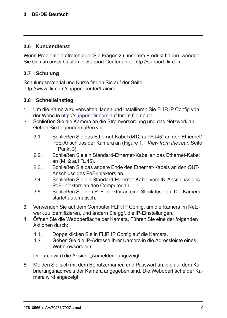#### **[3](#page-9-0) DE-DE [Deutsch](#page-9-0)**

#### **3.6 Kundendienst**

Wenn Probleme auftreten oder Sie Fragen zu unserem Produkt haben, wenden Sie sich an unser Customer Support Center unter http://support.flir.com.

#### **3.7 Schulung**

Schulungsmaterial und Kurse finden Sie auf der Seite http://www.flir.com/support-center/training.

#### **3.8 Schnelleinstieg**

- 1. Um die Kamera zu verwalten, laden und installieren Sie FLIR IP Config von der Website http://support.flir.com auf Ihrem Computer.
- 2. Schließen Sie die Kamera an die Stromversorgung und das Netzwerk an. Gehen Sie folgendermaßen vor:
	- 2.1. Schließen Sie das Ethernet-Kabel (M12 auf RJ45) an den Ethernet/ PoE-Anschluss der Kamera an [\(Figure](#page-3-1) 1.1 *View from the rear*, Seite [1](#page-3-1), Punkt 3).
	- 2.2. Schließen Sie ein Standard-Ethernet-Kabel an das Ethernet-Kabel an (M12 auf RJ45).
	- 2.3. Schließen Sie das andere Ende des Ethernet-Kabels an den OUT-Anschluss des PoE-Injektors an.
	- 2.4. Schließen Sie ein Standard-Ethernet-Kabel vom IN-Anschluss des PoE-Injektors an den Computer an.
	- 2.5. Schließen Sie den PoE-Injektor an eine Steckdose an. Die Kamera startet automatisch.
- 3. Verwenden Sie auf dem Computer FLIR IP Config, um die Kamera im Netzwerk zu identifizieren, und ändern Sie ggf. die IP-Einstellungen.
- 4. Öffnen Sie die Weboberfläche der Kamera. Führen Sie eine der folgenden Aktionen durch:
	- 4.1. Doppelklicken Sie in FLIR IP Config auf die Kamera.<br>4.2. Geben Sie die IP-Adresse Ibrer Kamera in die Adres
	- 4.2. Geben Sie die IP-Adresse Ihrer Kamera in die Adressleiste eines Webbrowsers ein.

Dadurch wird die Ansicht "Anmelden" angezeigt.

5. Melden Sie sich mit dem Benutzernamen und Passwort an, die auf dem Kalibrierungsnachweis der Kamera angegeben sind. Die Weboberfläche der Kamera wird angezeigt.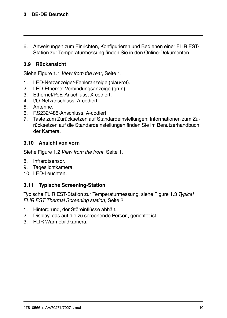6. Anweisungen zum Einrichten, Konfigurieren und Bedienen einer FLIR EST-Station zur Temperaturmessung finden Sie in den Online-Dokumenten.

#### **3.9 Rückansicht**

Siehe [Figure](#page-3-1) 1.1 *View from the rear*, Seite [1](#page-3-1).

- 1. LED-Netzanzeige/-Fehleranzeige (blau/rot).
- 2. LED-Ethernet-Verbindungsanzeige (grün).
- 3. Ethernet/PoE-Anschluss, X-codiert.
- 4. I/O-Netzanschluss, A-codiert.
- 5. Antenne.
- 6. RS232/485-Anschluss, A-codiert.
- 7. Taste zum Zurücksetzen auf Standardeinstellungen: Informationen zum Zurücksetzen auf die Standardeinstellungen finden Sie im Benutzerhandbuch der Kamera.

#### **3.10 Ansicht von vorn**

Siehe [Figure](#page-3-2) 1.2 *View from the front*, Seite [1](#page-3-2).

- 8. Infrarotsensor.
- 9. Tageslichtkamera.
- 10. LED-Leuchten.

#### **3.11 Typische Screening-Station**

Typische FLIR EST-Station zur Temperaturmessung, siehe Figure 1.3 *[Typical](#page-4-0) FLIR EST Thermal [Screening](#page-4-0) station*, Seite [2.](#page-4-0)

- 1. Hintergrund, der Störeinflüsse abhält.
- 2. Display, das auf die zu screenende Person, gerichtet ist.
- 3. FLIR Wärmebildkamera.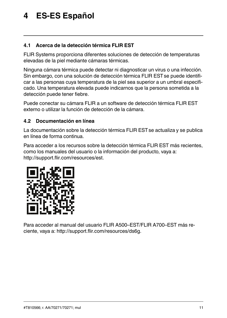# <span id="page-13-0"></span>**[4](#page-13-0) ES-ES [Español](#page-13-0)**

### **4.1 Acerca de la detección térmica FLIR EST**

FLIR Systems proporciona diferentes soluciones de detección de temperaturas elevadas de la piel mediante cámaras térmicas.

Ninguna cámara térmica puede detectar ni diagnosticar un virus o una infección. Sin embargo, con una solución de detección térmica FLIR ESTse puede identificar a las personas cuya temperatura de la piel sea superior a un umbral especificado. Una temperatura elevada puede indicarnos que la persona sometida a la detección puede tener fiebre.

Puede conectar su cámara FLIR a un software de detección térmica FLIR EST externo o utilizar la función de detección de la cámara.

#### **4.2 Documentación en línea**

La documentación sobre la detección térmica FLIR EST se actualiza y se publica en línea de forma continua.

Para acceder a los recursos sobre la detección térmica FLIR EST más recientes, como los manuales del usuario o la información del producto, vaya a: http://support.flir.com/resources/est.



Para acceder al manual del usuario FLIR A500–EST/FLIR A700–EST más reciente, vaya a: http://support.flir.com/resources/ds6g.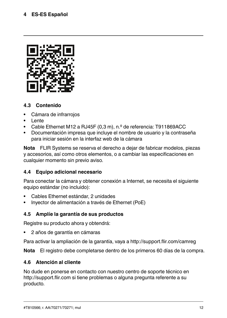

# **4.3 Contenido**

- Cámara de infrarrojos
- Lente
- Cable Ethernet M12 a RJ45F (0,3 m), n.º de referencia: T911869ACC
- Documentación impresa que incluye el nombre de usuario y la contraseña para iniciar sesión en la interfaz web de la cámara

**Nota** FLIR Systems se reserva el derecho a dejar de fabricar modelos, piezas y accesorios, así como otros elementos, o a cambiar las especificaciones en cualquier momento sin previo aviso.

# **4.4 Equipo adicional necesario**

Para conectar la cámara y obtener conexión a Internet, se necesita el siguiente equipo estándar (no incluido):

- Cables Ethernet estándar, 2 unidades
- Inyector de alimentación a través de Ethernet (PoE)

# **4.5 Amplíe la garantía de sus productos**

Registre su producto ahora y obtendrá:

• 2 años de garantía en cámaras

Para activar la ampliación de la garantía, vaya a http://support.flir.com/camreg

**Nota** El registro debe completarse dentro de los primeros 60 días de la compra.

# **4.6 Atención al cliente**

No dude en ponerse en contacto con nuestro centro de soporte técnico en http://support.flir.com si tiene problemas o alguna pregunta referente a su producto.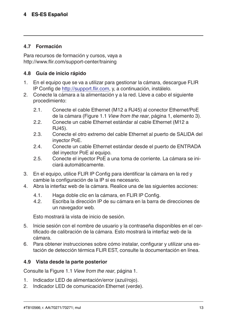### **4.7 Formación**

Para recursos de formación y cursos, vaya a http://www.flir.com/support-center/training

#### **4.8 Guía de inicio rápido**

- 1. En el equipo que se va a utilizar para gestionar la cámara, descargue FLIR IP Config de http://support.flir.com, y, a continuación, instálelo.
- 2. Conecte la cámara a la alimentación y a la red. Lleve a cabo el siguiente procedimiento:
	- 2.1. Conecte el cable Ethernet (M12 a RJ45) al conector Ethernet/PoE de la cámara [\(Figure](#page-3-1) 1.1 *View from the rear*, página [1](#page-3-1), elemento 3).
	- 2.2. Conecte un cable Ethernet estándar al cable Ethernet (M12 a RJ45).
	- 2.3. Conecte el otro extremo del cable Ethernet al puerto de SALIDA del inyector PoE.
	- 2.4. Conecte un cable Ethernet estándar desde el puerto de ENTRADA del inyector PoE al equipo.
	- 2.5. Conecte el inyector PoE a una toma de corriente. La cámara se iniciará automáticamente.
- 3. En el equipo, utilice FLIR IP Config para identificar la cámara en la red y cambie la configuración de la IP si es necesario.
- 4. Abra la interfaz web de la cámara. Realice una de las siguientes acciones:
	- 4.1. Haga doble clic en la cámara, en FLIR IP Config.
	- 4.2. Escriba la dirección IP de su cámara en la barra de direcciones de un navegador web.

Esto mostrará la vista de inicio de sesión.

- 5. Inicie sesión con el nombre de usuario y la contraseña disponibles en el certificado de calibración de la cámara. Esto mostrará la interfaz web de la cámara.
- 6. Para obtener instrucciones sobre cómo instalar, configurar y utilizar una estación de detección térmica FLIR EST, consulte la documentación en línea.

#### **4.9 Vista desde la parte posterior**

Consulte la [Figure](#page-3-1) 1.1 *View from the rear*, página [1.](#page-3-1)

- 1. Indicador LED de alimentación/error (azul/rojo).
- 2. Indicador LED de comunicación Ethernet (verde).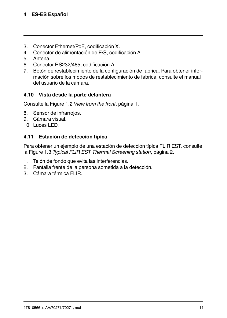- 3. Conector Ethernet/PoE, codificación X.
- 4. Conector de alimentación de E/S, codificación A.
- 5. Antena.
- 6. Conector RS232/485, codificación A.
- 7. Botón de restablecimiento de la configuración de fábrica. Para obtener información sobre los modos de restablecimiento de fábrica, consulte el manual del usuario de la cámara.

### **4.10 Vista desde la parte delantera**

Consulte la [Figure](#page-3-2) 1.2 *View from the front*, página [1.](#page-3-2)

- 8. Sensor de infrarrojos.
- 9. Cámara visual.
- 10. Luces LED.

### **4.11 Estación de detección típica**

Para obtener un ejemplo de una estación de detección típica FLIR EST, consulte la Figure 1.3 *Typical FLIR EST Thermal [Screening](#page-4-0) station*, página [2.](#page-4-0)

- 1. Telón de fondo que evita las interferencias.
- 2. Pantalla frente de la persona sometida a la detección.
- 3. Cámara térmica FLIR.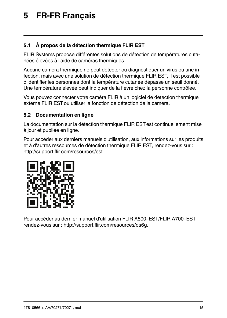# <span id="page-17-0"></span>**[5](#page-17-0) FR-FR [Français](#page-17-0)**

# **5.1 À propos de la détection thermique FLIR EST**

FLIR Systems propose différentes solutions de détection de températures cutanées élevées à l'aide de caméras thermiques.

Aucune caméra thermique ne peut détecter ou diagnostiquer un virus ou une infection, mais avec une solution de détection thermique FLIR EST, il est possible d'identifier les personnes dont la température cutanée dépasse un seuil donné. Une température élevée peut indiquer de la fièvre chez la personne contrôlée.

Vous pouvez connecter votre caméra FLIR à un logiciel de détection thermique externe FLIR ESTou utiliser la fonction de détection de la caméra.

### **5.2 Documentation en ligne**

La documentation sur la détection thermique FLIR ESTest continuellement mise à jour et publiée en ligne.

Pour accéder aux derniers manuels d'utilisation, aux informations sur les produits et à d'autres ressources de détection thermique FLIR EST, rendez-vous sur : http://support.flir.com/resources/est.



Pour accéder au dernier manuel d'utilisation FLIR A500–EST/FLIR A700–EST rendez-vous sur : http://support.flir.com/resources/ds6g.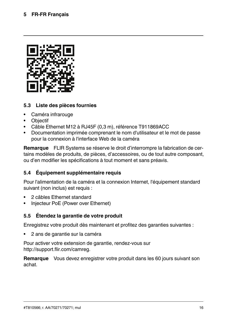

### **5.3 Liste des pièces fournies**

- Caméra infrarouge
- Objectif
- Câble Ethernet M12 à RJ45F (0,3 m), référence T911869ACC
- Documentation imprimée comprenant le nom d'utilisateur et le mot de passe pour la connexion à l'interface Web de la caméra

**Remarque** FLIR Systems se réserve le droit d'interrompre la fabrication de certains modèles de produits, de pièces, d'accessoires, ou de tout autre composant, ou d'en modifier les spécifications à tout moment et sans préavis.

# **5.4 Équipement supplémentaire requis**

Pour l'alimentation de la caméra et la connexion Internet, l'équipement standard suivant (non inclus) est requis :

- 2 câbles Ethernet standard
- Injecteur PoE (Power over Ethernet)

# **5.5 Étendez la garantie de votre produit**

Enregistrez votre produit dès maintenant et profitez des garanties suivantes :

• 2 ans de garantie sur la caméra

Pour activer votre extension de garantie, rendez-vous sur http://support.flir.com/camreg.

**Remarque** Vous devez enregistrer votre produit dans les 60 jours suivant son achat.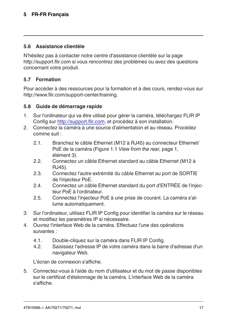### **5.6 Assistance clientèle**

N'hésitez pas à contacter notre centre d'assistance clientèle sur la page http://support.flir.com si vous rencontrez des problèmes ou avez des questions concernant votre produit.

### **5.7 Formation**

Pour accéder à des ressources pour la formation et à des cours, rendez-vous sur http://www.flir.com/support-center/training.

#### **5.8 Guide de démarrage rapide**

- 1. Sur l'ordinateur qui va être utilisé pour gérer la caméra, téléchargez FLIR IP Config sur http://support.flir.com, et procédez à son installation.
- 2. Connectez la caméra à une source d'alimentation et au réseau. Procédez comme suit :
	- 2.1. Branchez le câble Ethernet (M12 à RJ45) au connecteur Ethernet/ PoE de la caméra ([Figure](#page-3-1) 1.1 *View from the rear*, page [1](#page-3-1), élément 3).
	- 2.2. Connectez un câble Ethernet standard au câble Ethernet (M12 à  $R, 145$ ).
	- 2.3. Connectez l'autre extrémité du câble Ethernet au port de SORTIE de l'injecteur PoE.
	- 2.4. Connectez un câble Ethernet standard du port d'ENTRÉE de l'injecteur PoE à l'ordinateur.
	- 2.5. Connectez l'injecteur PoE à une prise de courant. La caméra s'allume automatiquement.
- 3. Sur l'ordinateur, utilisez FLIR IP Config pour identifier la caméra sur le réseau et modifiez les paramètres IP si nécessaire.
- 4. Ouvrez l'interface Web de la caméra. Effectuez l'une des opérations suivantes :
	- 4.1. Double-cliquez sur la caméra dans FLIR IP Config.
	- 4.2. Saisissez l'adresse IP de votre caméra dans la barre d'adresse d'un navigateur Web.

L'écran de connexion s'affiche.

5. Connectez-vous à l'aide du nom d'utilisateur et du mot de passe disponibles sur le certificat d'étalonnage de la caméra. L'interface Web de la caméra s'affiche.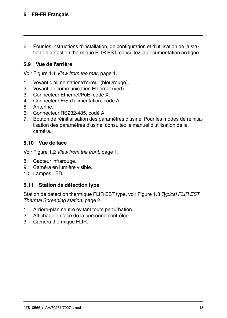# **[5](#page-17-0) FR-FR [Français](#page-17-0)**

6. Pour les instructions d'installation, de configuration et d'utilisation de la station de détection thermique FLIR EST, consultez la documentation en ligne.

### **5.9 Vue de l'arrière**

Voir [Figure](#page-3-1) 1.1 *View from the rear*, page [1](#page-3-1).

- 1. Voyant d'alimentation/d'erreur (bleu/rouge).
- 2. Voyant de communication Ethernet (vert).
- 3. Connecteur Ethernet/PoE, codé X.
- 4. Connecteur E/S d'alimentation, codé A.
- 5. Antenne.
- 6. Connecteur RS232/485, codé A.
- 7. Bouton de réinitialisation des paramètres d'usine. Pour les modes de réinitialisation des paramètres d'usine, consultez le manuel d'utilisation de la caméra.

#### **5.10 Vue de face**

Voir [Figure](#page-3-2) 1.2 *View from the front*, page [1.](#page-3-2)

- 8. Capteur infrarouge.
- 9. Caméra en lumière visible.
- 10. Lampes LED.

#### **5.11 Station de détection type**

Station de détection thermique FLIR EST type, voir Figure 1.3 *[Typical](#page-4-0) FLIR EST Thermal [Screening](#page-4-0) station*, page [2.](#page-4-0)

- 1. Arrière-plan neutre évitant toute perturbation.
- 2. Affichage en face de la personne contrôlée.
- 3. Caméra thermique FLIR.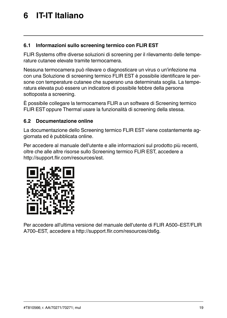# <span id="page-21-0"></span>**[6](#page-21-0) IT-IT [Italiano](#page-21-0)**

# **6.1 Informazioni sullo screening termico con FLIR EST**

FLIR Systems offre diverse soluzioni di screening per il rilevamento delle temperature cutanee elevate tramite termocamera.

Nessuna termocamera può rilevare o diagnosticare un virus o un'infezione ma con una Soluzione di screening termico FLIR EST è possibile identificare le persone con temperature cutanee che superano una determinata soglia. La temperatura elevata può essere un indicatore di possibile febbre della persona sottoposta a screening.

È possibile collegare la termocamera FLIR a un software di Screening termico FLIR ESToppure Thermal usare la funzionalità di screening della stessa.

#### **6.2 Documentazione online**

La documentazione dello Screening termico FLIR EST viene costantemente aggiornata ed è pubblicata online.

Per accedere al manuale dell'utente e alle informazioni sul prodotto più recenti, oltre che alle altre risorse sullo Screening termico FLIR EST, accedere a http://support.flir.com/resources/est.



Per accedere all'ultima versione del manuale dell'utente di FLIR A500–EST/FLIR A700–EST, accedere a http://support.flir.com/resources/ds6g.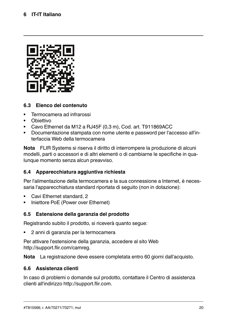

### **6.3 Elenco del contenuto**

- Termocamera ad infrarossi
- Obiettivo
- Cavo Ethernet da M12 a RJ45F (0,3 m), Cod. art. T911869ACC
- Documentazione stampata con nome utente e password per l'accesso all'interfaccia Web della termocamera

**Nota** FLIR Systems si riserva il diritto di interrompere la produzione di alcuni modelli, parti o accessori e di altri elementi o di cambiarne le specifiche in qualunque momento senza alcun preavviso.

# **6.4 Apparecchiatura aggiuntiva richiesta**

Per l'alimentazione della termocamera e la sua connessione a Internet, è necessaria l'apparecchiatura standard riportata di seguito (non in dotazione):

- Cavi Ethernet standard, 2
- Iniettore PoE (Power over Ethernet)

#### **6.5 Estensione della garanzia del prodotto**

Registrando subito il prodotto, si riceverà quanto segue:

• 2 anni di garanzia per la termocamera

Per attivare l'estensione della garanzia, accedere al sito Web http://support.flir.com/camreg.

**Nota** La registrazione deve essere completata entro 60 giorni dall'acquisto.

#### **6.6 Assistenza clienti**

In caso di problemi o domande sul prodotto, contattare il Centro di assistenza clienti all'indirizzo http://support.flir.com.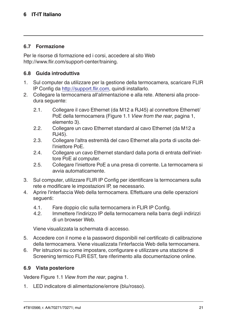#### **6.7 Formazione**

Per le risorse di formazione ed i corsi, accedere al sito Web http://www.flir.com/support-center/training.

### **6.8 Guida introduttiva**

- 1. Sul computer da utilizzare per la gestione della termocamera, scaricare FLIR IP Config da http://support.flir.com, quindi installarlo.
- 2. Collegare la termocamera all'alimentazione e alla rete. Attenersi alla procedura seguente:
	- 2.1. Collegare il cavo Ethernet (da M12 a RJ45) al connettore Ethernet/ PoE della termocamera ([Figure](#page-3-1) 1.1 *View from the rear*, pagina [1,](#page-3-1) elemento 3).
	- 2.2. Collegare un cavo Ethernet standard al cavo Ethernet (da M12 a RJ45).
	- 2.3. Collegare l'altra estremità del cavo Ethernet alla porta di uscita dell'iniettore PoE.
	- 2.4. Collegare un cavo Ethernet standard dalla porta di entrata dell'iniettore PoE al computer.
	- 2.5. Collegare l'iniettore PoE a una presa di corrente. La termocamera si avvia automaticamente.
- 3. Sul computer, utilizzare FLIR IP Config per identificare la termocamera sulla rete e modificare le impostazioni IP, se necessario.
- 4. Aprire l'interfaccia Web della termocamera. Effettuare una delle operazioni seguenti:
	- 4.1. Fare doppio clic sulla termocamera in FLIR IP Config.<br>4.2. Immettere l'indirizzo IP della termocamera nella barra
	- Immettere l'indirizzo IP della termocamera nella barra degli indirizzi di un browser Web.

Viene visualizzata la schermata di accesso.

- 5. Accedere con il nome e la password disponibili nel certificato di calibrazione della termocamera. Viene visualizzata l'interfaccia Web della termocamera.
- 6. Per istruzioni su come impostare, configurare e utilizzare una stazione di Screening termico FLIR EST, fare riferimento alla documentazione online.

#### **6.9 Vista posteriore**

Vedere [Figure](#page-3-1) 1.1 *View from the rear*, pagina [1](#page-3-1).

1. LED indicatore di alimentazione/errore (blu/rosso).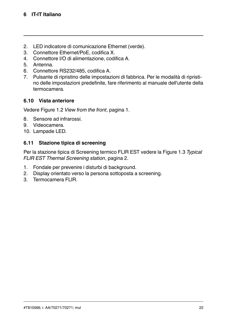- 2. LED indicatore di comunicazione Ethernet (verde).
- 3. Connettore Ethernet/PoE, codifica X.
- 4. Connettore I/O di alimentazione, codifica A.
- 5. Antenna.
- 6. Connettore RS232/485, codifica A.
- 7. Pulsante di ripristino delle impostazioni di fabbrica. Per le modalità di ripristino delle impostazioni predefinite, fare riferimento al manuale dell'utente della termocamera.

# **6.10 Vista anteriore**

Vedere [Figure](#page-3-2) 1.2 *View from the front*, pagina [1](#page-3-2).

- 8. Sensore ad infrarossi.
- 9. Videocamera.
- 10. Lampade LED.

#### **6.11 Stazione tipica di screening**

Per la stazione tipica di Screening termico FLIR EST vedere la Figure 1.3 *[Typical](#page-4-0) FLIR EST Thermal [Screening](#page-4-0) station*, pagina [2](#page-4-0).

- 1. Fondale per prevenire i disturbi di background.
- 2. Display orientato verso la persona sottoposta a screening.
- 3. Termocamera FLIR.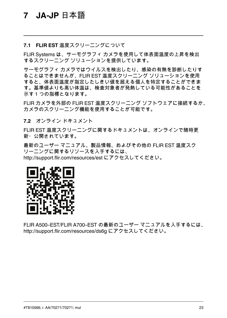#### <span id="page-25-0"></span>**7.1 FLIR EST** 温度スクリーニングについて

FLIR Systems は、サーモグラフィ カメラを使用して体表面温度の上昇を検出 するスクリーニング ソリューションを提供しています。

サーモグラフィ カメラではウイルスを検出したり、感染の有無を診断したりす ることはできませんが、FLIR EST 温度スクリーニング ソリューションを使用 すると、体表面温度が指定したしきい値を超える個人を特定することができま す。基準値よりも高い体温は、検査対象者が発熱している可能性があることを 示す 1 つの指標となります。

FLIR カメラを外部の FLIR EST 温度スクリーニング ソフトウェアに接続するか、 カメラのスクリーニング機能を使用することが可能です。

**7.2** オンライン ドキュメント

FLIR FST 温度スクリーニングに関するドキュメントは、オンラインで随時更 新・公開されています。

最新のユーザー マニュアル、製品情報、およびその他の FLIR EST 温度スク リーニングに関するリソースを入手するには、 http://support.flir.com/resources/est にアクセスしてください。



FLIR A500–EST/FLIR A700–EST の最新のユーザー マニュアルを入手するには、 http://support.flir.com/resources/ds6g にアクセスしてください。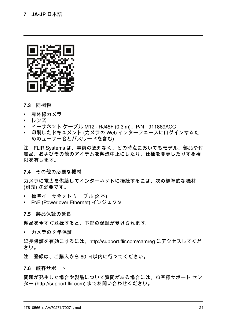

#### **7.3** 同梱物

- 赤外線カメラ
- レンズ
- イーサネット ケーブル M12 RJ45F (0.3 m)、P/N T911869ACC
- 印刷したドキュメント (カメラの Web インターフェースにログインするた めのユーザー名とパスワードを含む)

注 FLIR Systems は、事前の通知なく、どの時点においてもモデル、部品や付 属品、およびその他のアイテムを製造中止にしたり、仕様を変更したりする権 限を有します。

#### **7.4** その他の必要な機材

カメラに電力を供給してインターネットに接続するには、次の標準的な機材 (別売) が必要です。

- 標準イーサネット ケーブル (2 本)
- PoE (Power over Ethernet) インジェクタ

#### **7.5** 製品保証の延長

製品を今すぐ登録すると、下記の保証が受けられます。

• カメラの 2 年保証

延長保証を有効にするには、http://support.flir.com/camreg にアクセスしてくだ さい。

注 登録は、ご購入から 60 日以内に行ってください。

#### **7.6** 顧客サポート

問題が発生した場合や製品について質問がある場合には、お客様サポート セン ター (http://support.flir.com) までお問い合わせください。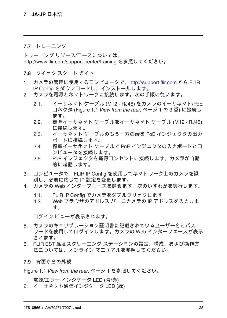#### **7.7** トレーニング

トレーニング リソース/コースについては、 http://www.flir.com/support-center/training を参照してください。

**7.8** クイック スタート ガイド

- 1. カメラの管理に使用するコンピュータで、http://support.flir.com から FLIR IP Config をダウンロードし、インストールします。
- 2. カメラを電源とネットワークに接続します。次の手順に従います。
	- 2.1. イーサネット ケーブル (M12 RJ45) をカメラのイーサネット/PoE コネクタ ([Figure](#page-3-1) 1.1 *View from the rear*, ページ [1](#page-3-1) の 3 番) に接続し ます。
	- 2.2. 標準イーサネット ケーブルをイーサネット ケーブル (M12 RJ45) に接続します。
	- 2.3. イーサネット ケーブルのもう一方の端を PoE インジェクタの出力 ポートに接続します。
	- 2.4. 標準イーサネット ケーブルで PoE インジェクタの入力ポートとコ ンピュータを接続します。
	- 2.5. PoE インジェクタを電源コンセントに接続します。カメラが自動 的に起動します。
- 3. コンピュータで、FLIR IP Config を使用してネットワーク上のカメラを識 別し、必要に応じて IP 設定を変更します。
- 4. カメラの Web インターフェースを開きます。次のいずれかを実行します。
	- 4.1. FLIR IP Config でカメラをダブルクリックします。
	- 4.2. Web ブラウザのアドレス バーにカメラの IP アドレスを入力しま す。

ログイン ビューが表示されます。

- 5. カメラのキャリブレーション証明書に記載されているユーザー名とパス ワードを使用してログインします。カメラの Web インターフェースが表示 されます。
- 6. FLIR EST 温度スクリーニング ステーションの設定、構成、および操作方 法については、オンライン マニュアルを参照してください。

**7.9** 背面からの外観

[Figure](#page-3-1) 1.1 *View from the rear*, ページ [1](#page-3-1) を参照してください。

- 1. 電源/エラー インジケータ LED (青/赤)
- 2. イーサネット通信インジケータ LED (緑)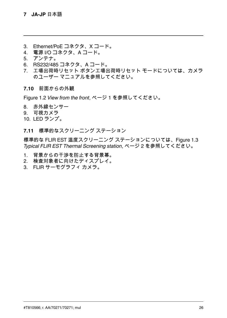- 3. Ethernet/PoE コネクタ、X コード。
- 4. 電源 I/O コネクタ、A コード。
- 5. アンテナ。
- 6. RS232/485 コネクタ、A コード。
- 7. 工場出荷時リセット ボタン工場出荷時リセット モードについては、カメラ のユーザー マニュアルを参照してください。

**7.10** 前面からの外観

[Figure](#page-3-2) 1.2 *View from the front*, ページ [1](#page-3-2) を参照してください。

- 8. 赤外線センサー
- 9. 可視カメラ
- 10. LED ランプ。
- **7.11** 標準的なスクリーニング ステーション

標準的な FLIR EST 温度スクリーニング ステーションについては、[Figure](#page-4-0) 1.3 *Typical FLIR EST Thermal [Screening](#page-4-0) station*, ページ [2](#page-4-0) を参照してください。

- 1. 背景からの干渉を防止する背景幕。
- 2. 検査対象者に向けたディスプレイ。
- 3. FLIR サーモグラフィ カメラ。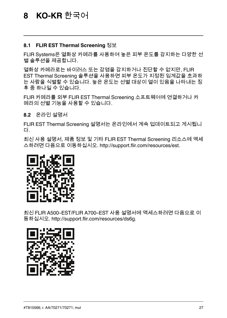#### <span id="page-29-0"></span>**8.1 FLIR EST Thermal Screening** 정보

FLIR Systems은 열화상 카메라를 사용하여 높은 피부 온도를 감지하는 다양한 선 별 솔루션을 제공합니다.

열화상 카메라로는 바이러스 또는 감염을 감지하거나 진단할 수 없지만, FLIR EST Thermal Screening 솔루션을 사용하면 피부 온도가 지정된 임계값을 초과하 는 사람을 식별할 수 있습니다. 높은 온도는 선별 대상이 열이 있음을 나타내는 징 후 중 하나일 수 있습니다.

FLIR 카메라를 외부 FLIR EST Thermal Screening 소프트웨어에 연결하거나 카 메라의 선별 기능을 사용할 수 있습니다.

**8.2** 온라인 설명서

FLIR EST Thermal Screening 설명서는 온라인에서 계속 업데이트되고 게시됩니 다.

최신 사용 설명서, 제품 정보 및 기타 FLIR EST Thermal Screening 리소스에 액세 스하려면 다음으로 이동하십시오. http://support.flir.com/resources/est.



최신 FLIR A500–EST/FLIR A700–EST 사용 설명서에 액세스하려면 다음으로 이 동하십시오. http://support.flir.com/resources/ds6g.

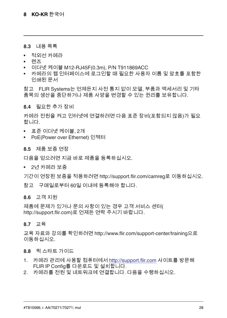#### **8.3** 내용 목록

- 적외선 카메라
- 렌즈
- 이더넷 케이블 M12-RJ45F(0.3m), P/N T911869ACC
- 카메라의 웹 인터페이스에 로그인할 때 필요한 사용자 이름 및 암호를 포함한 인쇄된 문서

참고 FLIR Systems는 언제든지 사전 통지 없이 모델, 부품과 액세서리 및 기타 품목의 생산을 중단하거나 제품 사양을 변경할 수 있는 권리를 보유합니다.

**8.4** 필요한 추가 장비

카메라 전원을 켜고 인터넷에 연결하려면 다음 표준 장비(포함되지 않음)가 필요 합니다.

- 표준 이더넷 케이블, 2개
- PoE(Power over Ethernet) 인젝터

#### **8.5** 제품 보증 연장

다음을 얻으려면 지금 바로 제품을 등록하십시오.

• 2년 카메라 보증

기간이 연장된 보증을 적용하려면 http://support.flir.com/camreg로 이동하십시오.

참고 구매일로부터 60일 이내에 등록해야 합니다.

#### **8.6** 고객 지원

제품에 문제가 있거나 문의 사항이 있는 경우 고객 서비스 센터( http://support.flir.com)로 언제든 연락 주시기 바랍니다.

#### **8.7** 교육

교육 자료와 강의를 확인하려면 http://www.flir.com/support-center/training으로 이동하십시오.

**8.8** 퀵 스타트 가이드

- 1. 카메라 관리에 사용할 컴퓨터에서 http://support.flir.com 사이트를 방문해 FLIR IP Config를 다운로드 및 설치합니다.
- 2. 카메라를 전원 및 네트워크에 연결합니다. 다음을 수행하십시오.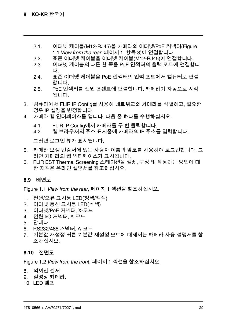- 2.1. 이더넷 케이블(M12-RJ45)을 카메라의 이더넷/PoE 커넥터([Figure](#page-3-1) 1.1 *[View](#page-3-1) from the rear*, 페이지 [1](#page-3-1), 항목 3)에 연결합니다.
- 2.2. 표준 이더넷 케이블을 이더넷 케이블(M12-RJ45)에 연결합니다.<br>2.3. 이더넷 케이블의 다른 한 쪽을 PoE 인젝터의 출력 포트에 연결합
- 2.3. 이더넷 케이블의 다른 한 쪽을 PoE 인젝터의 출력 포트에 연결합니 다.
- 2.4. 표준 이더넷 케이블을 PoE 인젝터의 입력 포트에서 컴퓨터로 연결 합니다.
- 2.5. PoE 인젝터를 전원 콘센트에 연결합니다. 카메라가 자동으로 시작 됩니다.
- 3. 컴퓨터에서 FLIR IP Config를 사용해 네트워크의 카메라를 식별하고, 필요한 경우 IP 설정을 변경합니다.
- 4. 카메라 웹 인터페이스를 엽니다. 다음 중 하나를 수행하십시오.
	- 4.1. FLIR IP Config에서 카메라를 두 번 클릭합니다.
	- 4.2. 웹 브라우저의 주소 표시줄에 카메라의 IP 주소를 입력합니다.

그러면 로그인 뷰가 표시됩니다.

- 5. 카메라 보정 인증서에 있는 사용자 이름과 암호를 사용하여 로그인합니다. 그 러면 카메라의 웹 인터페이스가 표시됩니다.
- 6. FLIR EST Thermal Screening 스테이션을 설치, 구성 및 작동하는 방법에 대 한 지침은 온라인 설명서를 참조하십시오.
- **8.9** 배면도

[Figure](#page-3-1) 1.1 *View from the rear*, 페이지 [1](#page-3-1) 섹션을 참조하십시오.

- 1. 전원/오류 표시등 LED(청색/적색)
- 2. 이더넷 통신 표시등 LED(녹색)
- 3. 이더넷/PoE 커넥터, X-코드
- 4. 전원 I/O 커넥터, A-코드
- 5. 안테나
- 6. RS232/485 커넥터, A-코드
- 7. 기본값 재설정 버튼 기본값 재설정 모드에 대해서는 카메라 사용 설명서를 참 조하십시오.

**8.10** 전면도

[Figure](#page-3-2) 1.2 *View from the front*, 페이지 [1](#page-3-2) 섹션을 참조하십시오.

- 8. 적외선 센서
- 9. 실영상 카메라.
- 10. LED 램프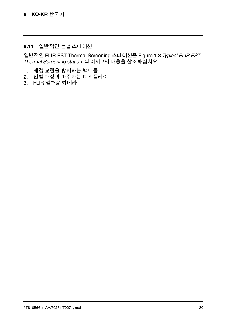# **8.11** 일반적인 선별 스테이션

일반적인 FLIR EST Thermal Screening 스테이션은 Figure 1.3 *[Typical](#page-4-0) FLIR EST Thermal [Screening](#page-4-0) station*, 페이지 [2](#page-4-0)의 내용을 참조하십시오.

- 1. 배경 교란을 방지하는 백드롭
- 2. 선별 대상과 마주하는 디스플레이
- 3. FLIR 열화상 카메라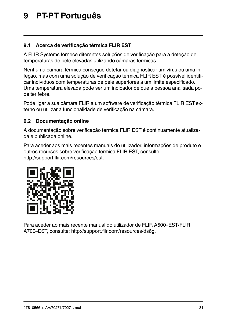# <span id="page-33-0"></span>**[9](#page-33-0) PT-PT [Português](#page-33-0)**

# **9.1 Acerca de verificação térmica FLIR EST**

A FLIR Systems fornece diferentes soluções de verificação para a deteção de temperaturas de pele elevadas utilizando câmaras térmicas.

Nenhuma câmara térmica consegue detetar ou diagnosticar um vírus ou uma infeção, mas com uma solução de verificação térmica FLIR EST é possível identificar indivíduos com temperaturas de pele superiores a um limite especificado. Uma temperatura elevada pode ser um indicador de que a pessoa analisada pode ter febre.

Pode ligar a sua câmara FLIR a um software de verificação térmica FLIR ESTexterno ou utilizar a funcionalidade de verificação na câmara.

# **9.2 Documentação online**

A documentação sobre verificação térmica FLIR EST é continuamente atualizada e publicada online.

Para aceder aos mais recentes manuais do utilizador, informações de produto e outros recursos sobre verificação térmica FLIR EST, consulte: http://support.flir.com/resources/est.



Para aceder ao mais recente manual do utilizador de FLIR A500–EST/FLIR A700–EST, consulte: http://support.flir.com/resources/ds6g.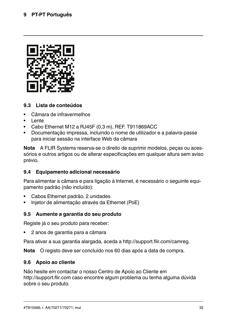

### **9.3 Lista de conteúdos**

- Câmara de infravermelhos
- Lente
- Cabo Ethernet M12 a RJ45F (0,3 m), REF. T911869ACC
- Documentação impressa, incluindo o nome de utilizador e a palavra-passe para iniciar sessão na interface Web da câmara

**Nota** A FLIR Systems reserva-se o direito de suprimir modelos, peças ou acessórios e outros artigos ou de alterar especificações em qualquer altura sem aviso prévio.

# **9.4 Equipamento adicional necessário**

Para alimentar a câmara e para ligação à Internet, é necessário o seguinte equipamento padrão (não incluído):

- Cabos Ethernet padrão, 2 unidades
- Injetor de alimentação através da Ethernet (PoE)

#### **9.5 Aumente a garantia do seu produto**

Registe já o seu produto para receber:

• 2 anos de garantia para a câmara

Para ativar a sua garantia alargada, aceda a http://support.flir.com/camreg.

**Nota** O registo deve ser concluído nos 60 dias após a data de compra.

#### **9.6 Apoio ao cliente**

Não hesite em contactar o nosso Centro de Apoio ao Cliente em http://support.flir.com caso encontre algum problema ou tenha alguma dúvida sobre o seu produto.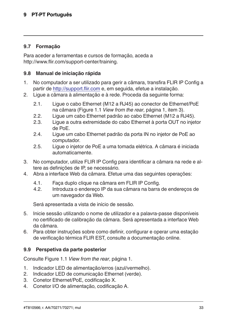### **9.7 Formação**

Para aceder a ferramentas e cursos de formação, aceda a http://www.flir.com/support-center/training.

#### **9.8 Manual de iniciação rápida**

- 1. No computador a ser utilizado para gerir a câmara, transfira FLIR IP Config a partir de http://support.flir.com e, em seguida, efetue a instalação.
- 2. Ligue a câmara à alimentação e à rede. Proceda da seguinte forma:
	- 2.1. Ligue o cabo Ethernet (M12 a RJ45) ao conector de Ethernet/PoE na câmara [\(Figure](#page-3-1) 1.1 *View from the rear*, página [1](#page-3-1), item 3).
	- 2.2. Ligue um cabo Ethernet padrão ao cabo Ethernet (M12 a RJ45).
	- 2.3. Ligue a outra extremidade do cabo Ethernet à porta OUT no injetor de PoE.
	- 2.4. Ligue um cabo Ethernet padrão da porta IN no injetor de PoE ao computador.
	- 2.5. Ligue o injetor de PoE a uma tomada elétrica. A câmara é iniciada automaticamente.
- 3. No computador, utilize FLIR IP Config para identificar a câmara na rede e altere as definições de IP, se necessário.
- 4. Abra a interface Web da câmara. Efetue uma das seguintes operações:
	- 4.1. Faça duplo clique na câmara em FLIR IP Config.
	- 4.2. Introduza o endereço IP da sua câmara na barra de endereços de um navegador da Web.

Será apresentada a vista de início de sessão.

- 5. Inicie sessão utilizando o nome de utilizador e a palavra-passe disponíveis no certificado de calibração da câmara. Será apresentada a interface Web da câmara.
- 6. Para obter instruções sobre como definir, configurar e operar uma estação de verificação térmica FLIR EST, consulte a documentação online.

#### **9.9 Perspetiva da parte posterior**

Consulte [Figure](#page-3-1) 1.1 *View from the rear*, página [1.](#page-3-1)

- 1. Indicador LED de alimentação/erros (azul/vermelho).
- 2. Indicador LED de comunicação Ethernet (verde).
- 3. Conetor Ethernet/PoE, codificação X.
- 4. Conetor I/O de alimentação, codificação A.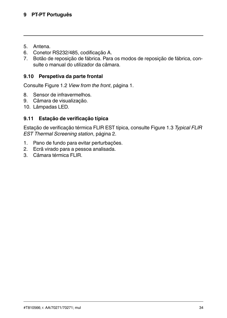- 5. Antena.
- 6. Conetor RS232/485, codificação A.
- 7. Botão de reposição de fábrica. Para os modos de reposição de fábrica, consulte o manual do utilizador da câmara.

# **9.10 Perspetiva da parte frontal**

Consulte [Figure](#page-3-2) 1.2 *View from the front*, página [1](#page-3-2).

- 8. Sensor de infravermelhos.
- 9. Câmara de visualização.
- 10. Lâmpadas LED.

# **9.11 Estação de verificação típica**

Estação de verificação térmica FLIR EST típica, consulte Figure 1.3 *[Typical](#page-4-0) FLIR EST Thermal [Screening](#page-4-0) station*, página [2.](#page-4-0)

- 1. Pano de fundo para evitar perturbações.
- 2. Ecrã virado para a pessoa analisada.
- 3. Câmara térmica FLIR.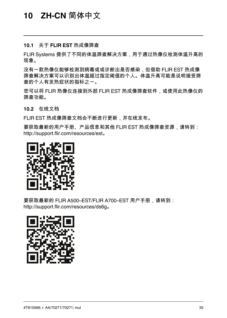#### <span id="page-37-0"></span>**10.1** 关于 **FLIR EST** 热成像筛查

FLIR Systems 提供了不同的体温筛查解决方案,用于通过热像仪检测体温升高的 现象。

没有一款热像仪能够检测到病毒或或诊断出是否感染,但借助 FLIR EST 热成像 筛查解决方案可以识别出体温超过指定阈值的个人。体温升高可能是说明接受筛 查的个人有发热症状的指标之一。

您可以将 FLIR 热像仪连接到外部 FLIR EST 热成像筛查软件,或使用此热像仪的 筛查功能。

**10.2** 在线文档

FLIR EST 热成像筛查文档会不断进行更新,并在线发布。

要获取最新的用户手册、产品信息和其他 FLIR EST 热成像筛查资源,请转到: http://support.flir.com/resources/est。



要获取最新的 FLIR A500-EST/FLIR A700-EST 用户手册,请转到: http://support.flir.com/resources/ds6g。

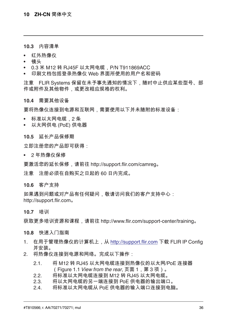#### **10.3** 内容清单

- 红外热像仪
- 镜头
- 0.3 米 M12 转 RJ45F 以太网电缆,P/N T911869ACC
- 印刷文档包括登录热像仪 Web 界面所使用的用户名和密码

注意 FLIR Systems 保留在未予事先通知的情况下,随时中止供应某些型号、部 件或附件及其他物件,或更改相应规格的权利。

#### **10.4** 需要其他设备

要将热像仪连接到电源和互联网,需要使用以下并未随附的标准设备;

- 标准以太网电缆,2 条
- 以太网供电 (PoE) 供电器

#### **10.5** 延长产品保修期

立即注册您的产品即可获得:

• 2 年热像仪保修

要激活您的延长保修,请前往 http://support.flir.com/camreg。

注意 注册必须在自购买之日起的 60 日内完成。

**10.6** 客户支持

如果遇到问题或对产品有任何疑问, 敬请访问我们的客户支持中心: http://support.flir.com。

**10.7** 培训

获取更多培训资源和课程,请前往 http://www.flir.com/support-center/training。

#### **10.8** 快速入门指南

- 1. 在用于管理热像仪的计算机上,从 http://support.flir.com 下载 FLIR IP Config 并安装。
- 2. 将热像仪连接到电源和网络。完成以下操作:
	- 2.1. 将 M12 转 RJ45 以太网电缆连接到热像仪的以太网/PoE 连接器 ([Figure](#page-3-1) 1.1 *View from the rear*, 页面 [1](#page-3-1),第 3 项)。
	- 2.2. 将标准以太网电缆连接到 M12 转 RJ45 以太网电缆。
	- 2.3. 将以太网电缆的另一端连接到 PoE 供电器的输出端口。
	- 2.4. 将标准以太网电缆从 PoE 供电器的输入端口连接到电脑。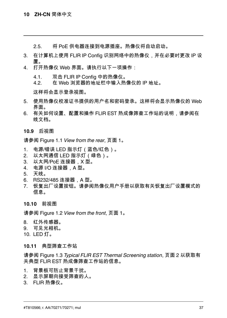2.5. 将 PoE 供电器连接到电源插座。热像仪将自动启动。

- 3. 在计算机上使用 FLIR IP Config 识别网络中的热像仪,并在必要时更改 IP 设 置。
- 4. 打开热像仪 Web 界面。请执行以下一项操作:
	- 4.1. 双击 FLIR IP Config 中的热像仪。<br>4.2. 在 Web 浏览器的地址栏中输入热
	- 4.2. 在 Web 浏览器的地址栏中输入热像仪的 IP 地址。

这样将会显示登录视图。

- 5. 使用热像仪校准证书提供的用户名和密码登录。这样将会显示热像仪的 Web 界面。
- 6. 有关如何设置、配置和操作 FLIR EST 热成像筛查工作站的说明,请参阅在 线文档。
- **10.9** 后视图

请参阅 [Figure](#page-3-1) 1.1 *View from the rear*, 页面 [1](#page-3-1)。

- 1. 电源/错误 LED 指示灯(蓝色/红色)。
- 2. 以太网通信 LED 指示灯(绿色)。
- 3. 以太网/PoE 连接器,X 型。
- 4. 电源 I/O 连接器, A 型。
- 5. 天线。
- 6. RS232/485 连接器,A 型。
- 7. 恢复出厂设置按钮。请参阅热像仪用户手册以获取有关恢复出厂设置模式的 信息。

#### **10.10** 前视图

请参阅 [Figure](#page-3-2) 1.2 *View from the front*, 页面 [1](#page-3-2)。

- 8. 红外传感器。
- 9. 可见光相机。
- 10. LED 灯。

#### **10.11** 典型筛查工作站

请参阅 Figure 1.3 *Typical FLIR EST Thermal [Screening](#page-4-0) station*, 页面 [2](#page-4-0) 以获取有 关典型 FLIR EST 热成像筛查工作站的信息。

- 1. 背景板可防止背景干扰。
- 2. 显示屏朝向接受筛查的人。
- 3. FLIR 热像仪。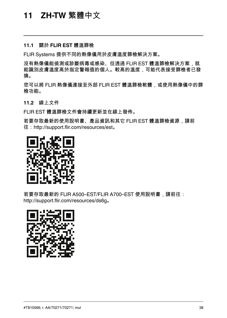#### <span id="page-40-0"></span>**11.1** 關於 **FLIR EST** 體溫篩檢

FLIR Systems 提供不同的熱像儀用於皮膚溫度篩檢解決方案。

沒有熱像儀能偵測或診斷病毒或感染、但透過 FLIR EST 體溫篩檢解決方案,就 能識別皮膚溫度高於指定警報值的個人。較高的溫度,可能代表接受篩檢者已發 燒。

您可以將 FLIR 熱像儀連接至外部 FLIR EST 體溫篩檢軟體,或使用熱像儀中的篩 檢功能。

**11.2** 線上文件

FLIR EST 體溫篩檢文件會持續更新並在線上發佈。

若要存取最新的使用說明書、產品資訊和其它 FLIR EST 體溫篩檢資源,請前 往:http://support.flir.com/resources/est。



若要存取最新的 FLIR A500–EST/FLIR A700–EST 使用說明書,請前往: http://support.flir.com/resources/ds6g。

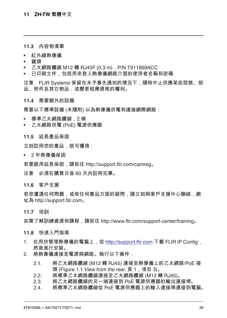#### **11.3** 內容物清單

- 紅外線熱像儀
- 鏡頭
- 乙太網路纜線 M12 轉 RJ45F (0.3 m),P/N T911869ACC
- 已印刷文件,包括用來登入熱像儀網路介面的使用者名稱和密碼

注意 FLIR Systems 保留在未予事先通知的情況下,隨時中止供應某些型號、部 品 附件及其它物品 或變更相應規格的權利。

#### **11.4** 需要額外的設備

需要以下標準設備 (未隨附) 以為熱像儀供電和連接網際網路:

- 標準乙太網路纜線,2 條
- 乙太網路供電 (PoE) 電源供應器

#### **11.5** 延長產品保固

立刻註冊您的產品,就可獲得:

• 2 年熱像儀保固

若要啟用延長保固,請前往 http://support.flir.com/camreg。

注意 必須在購買日後 60 天內註冊完畢。

**11.6** 客戶支援

若您遭遇任何問題,或有任何產品方面的疑問,請立刻與客戶支援中心聯絡,網 址為 http://support.flir.com。

**11.7** 培訓

如需了解訓練資源和課程,請前往 http://www.flir.com/support-center/training。

#### **11.8** 快速入門指南

- 1. 在用於管理熱像儀的電腦上,從 http://support.flir.com 下載 FLIR IP Config, 然後進行安裝。
- 2. 將熱像儀連接至電源與網路。執行以下操作:
	- 2.1. 將乙太網路纜線 (M12 轉 RJ45) 連接至熱像儀上的乙太網路/PoE 接 頭 [\(Figure](#page-3-1) 1.1 *View from the rear*, 頁 [1](#page-3-1),項目 3)。
	- 2.2. 將標準乙太網路纜線連接至乙太網路纜線 (M12 轉 RJ45)。
	- 2.3. 將乙太網路纜線的另一端連接到 PoE 電源供應器的輸出連接埠。
	- 2.4. 將標準乙太網路纜線從 PoE 電源供應器上的輸入連接埠連接到電腦。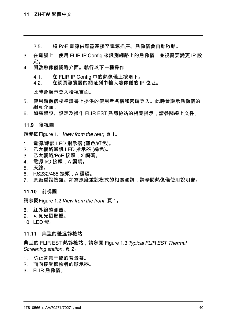2.5. 將 PoE 電源供應器連接至電源插座。熱像儀會自動啟動。

- 3. 在電腦上,使用 FLIR IP Config 來識別網路上的熱像儀,並視需要變更 IP 設 定。
- 4. 開啟熱像儀網路介面。執行以下一種操作:
	- 4.1. 在 FLIR IP Config 中的熱像儀上按兩下。<br>42 在網百瀏覽器的網址列中輸入熱像儀的」
	- 4.2. 在網頁瀏覽器的網址列中輸入熱像儀的 IP 位址。

此時會顯示登入檢視畫面。

- 5. 使用熱像儀校準證書上提供的使用者名稱和密碼登入。此時會顯示熱像儀的 網頁介面。
- 6. 如需架設、設定及操作 FLIR EST 熱篩檢站的相關指示,請參閱線上文件。

#### **11.9** 後視圖

請參閱[Figure](#page-3-1) 1.1 *View from the rear*, 頁 [1](#page-3-1)。

- 1. 電源/錯誤 LED 指示器 (藍色/紅色)。
- 2. 乙太網路通訊 LED 指示器 (綠色)。
- 3. 乙太網路/PoE 接頭,X 編碼。
- 4. 電源 I/O 接頭,A 編碼。
- 5. 天線。
- 6. RS232/485 接頭,A 編碼。
- 7. 原廠重設按鈕。如需原廠重設模式的相關資訊,請參閱熱像儀使用說明書。

#### **11.10** 前視圖

請參閱[Figure](#page-3-2) 1.2 *View from the front*, 頁 [1](#page-3-2)。

- 8. 紅外線感測器。
- 9. 可見光攝影機。
- 10. LED 燈。

#### **11.11** 典型的體溫篩檢站

典型的 FLIR EST 熱篩檢站,請參閱 Figure 1.3 *Typical FLIR EST [Thermal](#page-4-0) [Screening](#page-4-0) station*, 頁 [2](#page-4-0)。

- 1. 防止背景干擾的背景幕。
- 2. 面向接受篩檢者的顯示器。
- 3. FLIR 熱像儀。